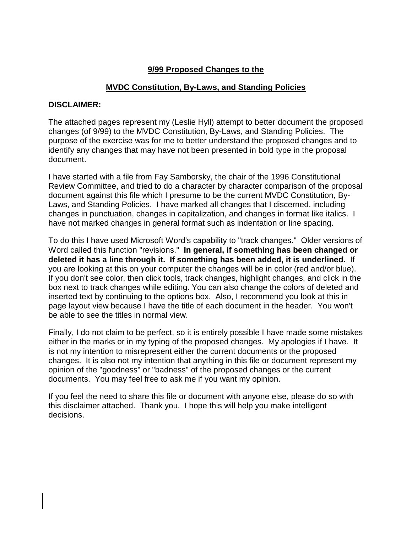# **9/99 Proposed Changes to the**

# **MVDC Constitution, By-Laws, and Standing Policies**

# **DISCLAIMER:**

The attached pages represent my (Leslie Hyll) attempt to better document the proposed changes (of 9/99) to the MVDC Constitution, By-Laws, and Standing Policies. The purpose of the exercise was for me to better understand the proposed changes and to identify any changes that may have not been presented in bold type in the proposal document.

I have started with a file from Fay Samborsky, the chair of the 1996 Constitutional Review Committee, and tried to do a character by character comparison of the proposal document against this file which I presume to be the current MVDC Constitution, By-Laws, and Standing Policies. I have marked all changes that I discerned, including changes in punctuation, changes in capitalization, and changes in format like italics. I have not marked changes in general format such as indentation or line spacing.

To do this I have used Microsoft Word's capability to "track changes." Older versions of Word called this function "revisions." **In general, if something has been changed or deleted it has a line through it. If something has been added, it is underlined.** If you are looking at this on your computer the changes will be in color (red and/or blue). If you don't see color, then click tools, track changes, highlight changes, and click in the box next to track changes while editing. You can also change the colors of deleted and inserted text by continuing to the options box. Also, I recommend you look at this in page layout view because I have the title of each document in the header. You won't be able to see the titles in normal view.

Finally, I do not claim to be perfect, so it is entirely possible I have made some mistakes either in the marks or in my typing of the proposed changes. My apologies if I have. It is not my intention to misrepresent either the current documents or the proposed changes. It is also not my intention that anything in this file or document represent my opinion of the "goodness" or "badness" of the proposed changes or the current documents. You may feel free to ask me if you want my opinion.

If you feel the need to share this file or document with anyone else, please do so with this disclaimer attached. Thank you. I hope this will help you make intelligent decisions.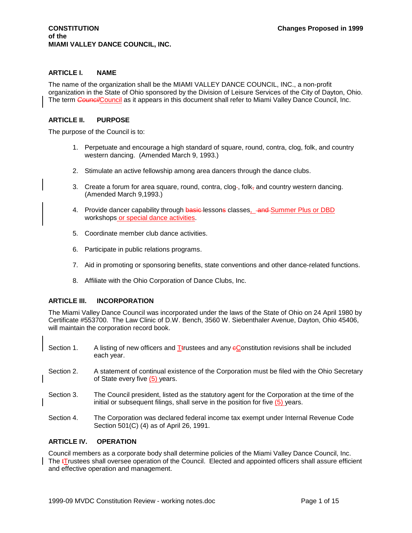### **ARTICLE I. NAME**

The name of the organization shall be the MIAMI VALLEY DANCE COUNCIL, INC., a non-profit organization in the State of Ohio sponsored by the Division of Leisure Services of the City of Dayton, Ohio. The term *Council*Council as it appears in this document shall refer to Miami Valley Dance Council, Inc.

### **ARTICLE II. PURPOSE**

The purpose of the Council is to:

- 1. Perpetuate and encourage a high standard of square, round, contra, clog, folk, and country western dancing. (Amended March 9, 1993.)
- 2. Stimulate an active fellowship among area dancers through the dance clubs.
- 3. Create a forum for area square, round, contra, clog-, folk<sub> $\tau$ </sub> and country western dancing. (Amended March 9,1993.)
- 4. Provide dancer capability through basic-lessons classes, and Summer Plus or DBD workshops or special dance activities.
- 5. Coordinate member club dance activities.
- 6. Participate in public relations programs.
- 7. Aid in promoting or sponsoring benefits, state conventions and other dance-related functions.
- 8. Affiliate with the Ohio Corporation of Dance Clubs, Inc.

### **ARTICLE III. INCORPORATION**

The Miami Valley Dance Council was incorporated under the laws of the State of Ohio on 24 April 1980 by Certificate #553700. The Law Clinic of D.W. Bench, 3560 W. Siebenthaler Avenue, Dayton, Ohio 45406, will maintain the corporation record book.

- Section 1. A listing of new officers and  $I$  trustees and any  $\epsilon$  Constitution revisions shall be included each year.
- Section 2. A statement of continual existence of the Corporation must be filed with the Ohio Secretary of State every five (5) years.
- Section 3. The Council president, listed as the statutory agent for the Corporation at the time of the initial or subsequent filings, shall serve in the position for five (5) years.
- Section 4. The Corporation was declared federal income tax exempt under Internal Revenue Code Section 501(C) (4) as of April 26, 1991.

### **ARTICLE IV. OPERATION**

Council members as a corporate body shall determine policies of the Miami Valley Dance Council, Inc. The **tTrustees shall oversee operation of the Council.** Elected and appointed officers shall assure efficient and effective operation and management.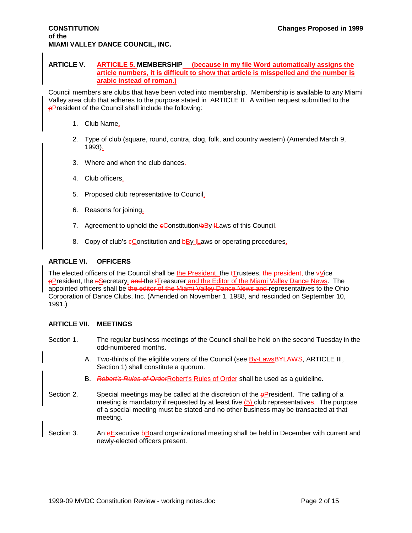## **CONSTITUTION Changes Proposed in 1999 of the MIAMI VALLEY DANCE COUNCIL, INC.**

#### **ARTICLE V. ARTICILE 5. MEMBERSHIP (because in my file Word automatically assigns the article numbers, it is difficult to show that article is misspelled and the number is arabic instead of roman.)**

Council members are clubs that have been voted into membership. Membership is available to any Miami Valley area club that adheres to the purpose stated in ARTICLE II. A written request submitted to the **pPresident of the Council shall include the following:** 

- 1. Club Name.
- 2. Type of club (square, round, contra, clog, folk, and country western) (Amended March 9, 1993).
- 3. Where and when the club dances.
- 4. Club officers.
- 5. Proposed club representative to Council.
- 6. Reasons for joining.
- 7. Agreement to uphold the eConstitution/bBy-ILaws of this Council.
- 8. Copy of club's eConstitution and **bBy-lLaws** or operating procedures.

### **ARTICLE VI. OFFICERS**

The elected officers of the Council shall be the President, the  $t$ Trustees, the president, the  $v$ Vice **pPresident, the sSecretary, and the tTreasurer and the Editor of the Miami Valley Dance News.** The appointed officers shall be the editor of the Miami Valley Dance News and representatives to the Ohio Corporation of Dance Clubs, Inc. (Amended on November 1, 1988, and rescinded on September 10, 1991.)

### **ARTICLE VII. MEETINGS**

- Section 1. The regular business meetings of the Council shall be held on the second Tuesday in the odd-numbered months.
	- A. Two-thirds of the eligible voters of the Council (see By-LawsBYLAWS, ARTICLE III, Section 1) shall constitute a quorum.
	- B. *Robert's Rules of Order*Robert's Rules of Order shall be used as a guideline.
- Section 2. Special meetings may be called at the discretion of the **pPresident.** The calling of a meeting is mandatory if requested by at least five  $(5)$  club representatives. The purpose of a special meeting must be stated and no other business may be transacted at that meeting.
- Section 3. An eExecutive bBoard organizational meeting shall be held in December with current and newly-elected officers present.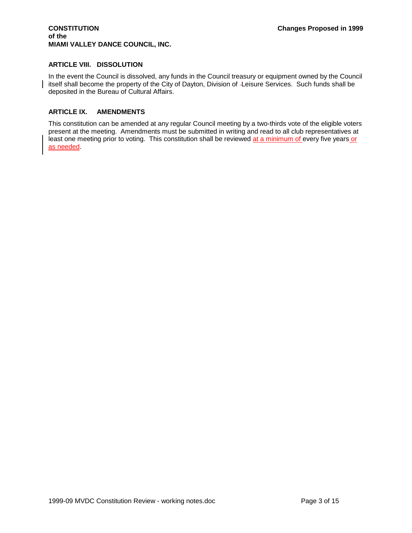### **CONSTITUTION Changes Proposed in 1999 of the MIAMI VALLEY DANCE COUNCIL, INC.**

# **ARTICLE VIII. DISSOLUTION**

In the event the Council is dissolved, any funds in the Council treasury or equipment owned by the Council itself shall become the property of the City of Dayton, Division of Leisure Services. Such funds shall be deposited in the Bureau of Cultural Affairs.

# **ARTICLE IX. AMENDMENTS**

This constitution can be amended at any regular Council meeting by a two-thirds vote of the eligible voters present at the meeting. Amendments must be submitted in writing and read to all club representatives at least one meeting prior to voting. This constitution shall be reviewed at a minimum of every five years or as needed.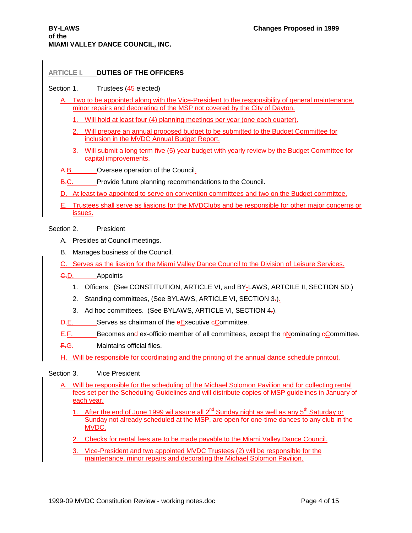### **ARTICLE I. DUTIES OF THE OFFICERS**

#### Section 1. Trustees (45 elected)

- A. Two to be appointed along with the Vice-President to the responsibility of general maintenance, minor repairs and decorating of the MSP not covered by the City of Dayton.
	- 1. Will hold at least four (4) planning meetings per year (one each quarter).
	- 2. Will prepare an annual proposed budget to be submitted to the Budget Committee for inclusion in the MVDC Annual Budget Report.
	- 3. Will submit a long term five (5) year budget with yearly review by the Budget Committee for capital improvements.
- A.B. Oversee operation of the Council.
- B.C. Provide future planning recommendations to the Council.
- D. At least two appointed to serve on convention committees and two on the Budget committee.
- E. Trustees shall serve as liasions for the MVDClubs and be responsible for other major concerns or issues.

#### Section 2. President

- A. Presides at Council meetings.
- B. Manages business of the Council.
- C. Serves as the liasion for the Miami Valley Dance Council to the Division of Leisure Services.
- C.D. \_\_\_\_\_Appoints
	- 1. Officers. (See CONSTITUTION, ARTICLE VI, and BY-LAWS, ARTCILE II, SECTION 5D.)
	- 2. Standing committees, (See BYLAWS, ARTICLE VI, SECTION 3-).
	- 3. Ad hoc committees. (See BYLAWS, ARTICLE VI, SECTION 4.).
- **D.E.** Serves as chairman of the eExecutive eCommittee.
- $E.F.$  Becomes and ex-officio member of all committees, except the  $n$ Nominating  $e$ Committee.
- F.G. Maintains official files.
- H. Will be responsible for coordinating and the printing of the annual dance schedule printout.

#### Section 3. Vice President

- A. Will be responsible for the scheduling of the Michael Solomon Pavilion and for collecting rental fees set per the Scheduling Guidelines and will distribute copies of MSP guidelines in January of each year.
	- 1. After the end of June 1999 wil assure all  $2^{nd}$  Sunday night as well as any  $5<sup>th</sup>$  Saturday or Sunday not already scheduled at the MSP, are open for one-time dances to any club in the MVDC.
	- 2. Checks for rental fees are to be made payable to the Miami Valley Dance Council.
	- 3. Vice-President and two appointed MVDC Trustees (2) will be responsible for the maintenance, minor repairs and decorating the Michael Solomon Pavilion.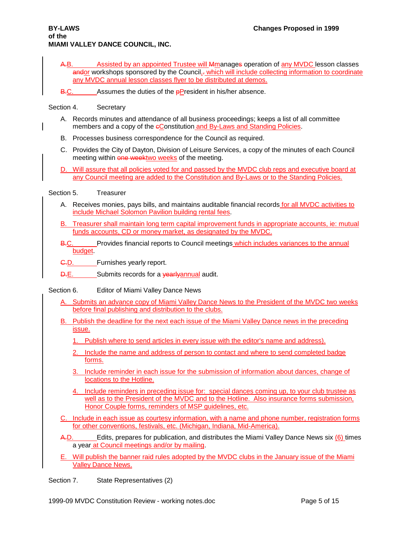- A.B. Assisted by an appointed Trustee will Amanages operation of any MVDC lesson classes andor workshops sponsored by the Council,- which will include collecting information to coordinate any MVDC annual lesson classes flyer to be distributed at demos.
- $B-C.$  Assumes the duties of the **pPresident** in his/her absence.

# Section 4. Secretary

- A. Records minutes and attendance of all business proceedings; keeps a list of all committee members and a copy of the eConstitution and By-Laws and Standing Policies.
- B. Processes business correspondence for the Council as required.
- C. Provides the City of Dayton, Division of Leisure Services, a copy of the minutes of each Council meeting within one weektwo weeks of the meeting.
- D. Will assure that all policies voted for and passed by the MVDC club reps and executive board at any Council meeting are added to the Constitution and By-Laws or to the Standing Policies.

### Section 5. Treasurer

- A. Receives monies, pays bills, and maintains auditable financial records for all MVDC activities to include Michael Solomon Pavilion building rental fees.
- B. Treasurer shall maintain long term capital improvement funds in appropriate accounts, ie: mutual funds accounts, CD or money market, as designated by the MVDC.
- B.C. Provides financial reports to Council meetings which includes variances to the annual budget.
- G.D. Furnishes yearly report.
- D.E. Submits records for a **yearlyannual** audit.

Section 6. Editor of Miami Valley Dance News

- A. Submits an advance copy of Miami Valley Dance News to the President of the MVDC two weeks before final publishing and distribution to the clubs.
- B. Publish the deadline for the next each issue of the Miami Valley Dance news in the preceding issue.
	- 1. Publish where to send articles in every issue with the editor's name and address).
	- 2. Include the name and address of person to contact and where to send completed badge forms.
	- 3. Include reminder in each issue for the submission of information about dances, change of locations to the Hotline.
	- 4. Include reminders in preceding issue for: special dances coming up, to your club trustee as well as to the President of the MVDC and to the Hotline. Also insurance forms submission, Honor Couple forms, reminders of MSP guidelines, etc.
- C. Include in each issue as courtesy information, with a name and phone number, registration forms for other conventions, festivals, etc. (Michigan, Indiana, Mid-America).
- A.D. Edits, prepares for publication, and distributes the Miami Valley Dance News six (6) times a year at Council meetings and/or by mailing.
- E. Will publish the banner raid rules adopted by the MVDC clubs in the January issue of the Miami Valley Dance News.

Section 7. State Representatives (2)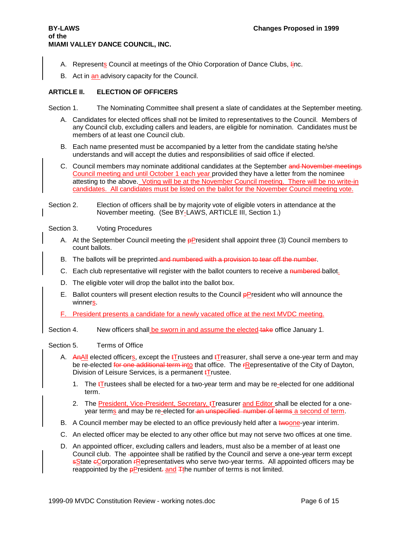- A. Represents Council at meetings of the Ohio Corporation of Dance Clubs, *linc*.
- B. Act in an advisory capacity for the Council.

### **ARTICLE II. ELECTION OF OFFICERS**

Section 1. The Nominating Committee shall present a slate of candidates at the September meeting.

- A. Candidates for elected offices shall not be limited to representatives to the Council. Members of any Council club, excluding callers and leaders, are eligible for nomination. Candidates must be members of at least one Council club.
- B. Each name presented must be accompanied by a letter from the candidate stating he/she understands and will accept the duties and responsibilities of said office if elected.
- C. Council members may nominate additional candidates at the September and November meetings Council meeting and until October 1 each year provided they have a letter from the nominee attesting to the above. Voting will be at the November Council meeting. There will be no write-in candidates. All candidates must be listed on the ballot for the November Council meeting vote.
- Section 2. Election of officers shall be by majority vote of eligible voters in attendance at the November meeting. (See BY-LAWS, ARTICLE III, Section 1.)
- Section 3. Voting Procedures
	- A. At the September Council meeting the  $p$ President shall appoint three (3) Council members to count ballots.
	- B. The ballots will be preprinted and numbered with a provision to tear off the number.
	- C. Each club representative will register with the ballot counters to receive a numbered-ballot.
	- D. The eligible voter will drop the ballot into the ballot box.
	- E. Ballot counters will present election results to the Council **pPresident who will announce the** winners.
	- F. President presents a candidate for a newly vacated office at the next MVDC meeting.

Section 4. New officers shall be sworn in and assume the elected take office January 1.

Section 5. Terms of Office

- A. Anall elected officers, except the  $t$ Trustees and  $t$ Treasurer, shall serve a one-year term and may be re-elected for one additional term into that office. The rRepresentative of the City of Dayton, Division of Leisure Services, is a permanent **tTrustee**.
	- 1. The  $t\overline{I}$  rustees shall be elected for a two-year term and may be re-elected for one additional term.
	- 2. The President, Vice-President, Secretary,  $\mathbf{t}$ Treasurer and Editor shall be elected for a oneyear terms and may be re-elected for an unspecified number of terms a second of term.
- B. A Council member may be elected to an office previously held after a twoone-year interim.
- C. An elected officer may be elected to any other office but may not serve two offices at one time.
- D. An appointed officer, excluding callers and leaders, must also be a member of at least one Council club. The appointee shall be ratified by the Council and serve a one-year term except **sState eCorporation FRepresentatives who serve two-year terms. All appointed officers may be** reappointed by the  $\frac{p}{p}$  resident. and  $\frac{p}{p}$  the number of terms is not limited.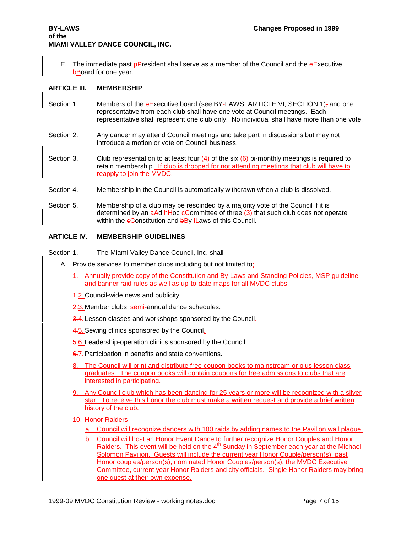E. The immediate past  $\frac{p}{p}$  President shall serve as a member of the Council and the  $\frac{p}{p}$  Executive **bBoard for one year.** 

#### **ARTICLE III. MEMBERSHIP**

- Section 1. Members of the eExecutive board (see BY-LAWS, ARTICLE VI, SECTION 1)<sub>7</sub> and one representative from each club shall have one vote at Council meetings. Each representative shall represent one club only. No individual shall have more than one vote.
- Section 2. Any dancer may attend Council meetings and take part in discussions but may not introduce a motion or vote on Council business.
- Section 3. Club representation to at least four  $(4)$  of the six  $(6)$  bi-monthly meetings is required to retain membership. If club is dropped for not attending meetings that club will have to reapply to join the MVDC.
- Section 4. Membership in the Council is automatically withdrawn when a club is dissolved.
- Section 5. Membership of a club may be rescinded by a majority vote of the Council if it is determined by an  $\frac{a}{c}$ d hHoc  $\frac{c}{c}$ Committee of three (3) that such club does not operate within the  $\epsilon$ Constitution and  $b$ By- $\frac{1}{2}$  aws of this Council.

#### **ARTICLE IV. MEMBERSHIP GUIDELINES**

- Section 1. The Miami Valley Dance Council, Inc. shall
	- A. Provide services to member clubs including but not limited to;
		- 1. Annually provide copy of the Constitution and By-Laws and Standing Policies, MSP guideline and banner raid rules as well as up-to-date maps for all MVDC clubs.
		- 4.2. Council-wide news and publicity.
		- 2.3. Member clubs' semi-annual dance schedules.
		- 3.4. Lesson classes and workshops sponsored by the Council.
		- 4.5. Sewing clinics sponsored by the Council.
		- 5.6. Leadership-operation clinics sponsored by the Council.
		- 6.7. Participation in benefits and state conventions.
		- 8. The Council will print and distribute free coupon books to mainstream or plus lesson class graduates. The coupon books will contain coupons for free admissions to clubs that are interested in participating.
		- 9. Any Council club which has been dancing for 25 years or more will be recognized with a silver star. To receive this honor the club must make a written request and provide a brief written history of the club.
		- 10. Honor Raiders
			- a. Council will recognize dancers with 100 raids by adding names to the Pavilion wall plaque.
			- b. Council will host an Honor Event Dance to further recognize Honor Couples and Honor Raiders. This event will be held on the  $4<sup>th</sup>$  Sunday in September each year at the Michael Solomon Pavilion. Guests will include the current year Honor Couple/person(s), past Honor couples/person(s), nominated Honor Couples/person(s), the MVDC Executive Committee, current year Honor Raiders and city officials. Single Honor Raiders may bring one guest at their own expense.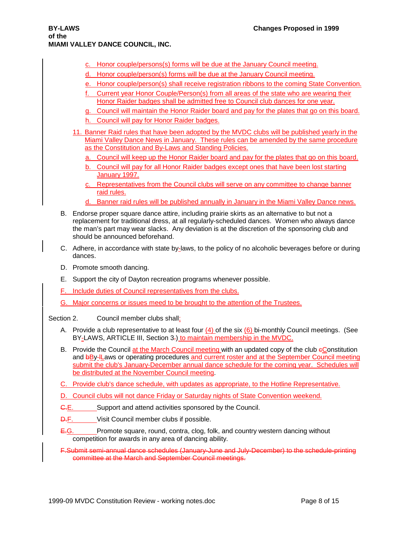- c. Honor couple/persons(s) forms will be due at the January Council meeting.
- d. Honor couple/person(s) forms will be due at the January Council meeting.
- e. Honor couple/person(s) shall receive registration ribbons to the coming State Convention.
- f. Current year Honor Couple/Person(s) from all areas of the state who are wearing their Honor Raider badges shall be admitted free to Council club dances for one year.
- g. Council will maintain the Honor Raider board and pay for the plates that go on this board.
- h. Council will pay for Honor Raider badges.
- 11. Banner Raid rules that have been adopted by the MVDC clubs will be published yearly in the Miami Valley Dance News in January. These rules can be amended by the same procedure as the Constitution and By-Laws and Standing Policies.
	- a. Council will keep up the Honor Raider board and pay for the plates that go on this board.
	- b. Council will pay for all Honor Raider badges except ones that have been lost starting **January 1997.**
	- c. Representatives from the Council clubs will serve on any committee to change banner raid rules.
	- d. Banner raid rules will be published annually in January in the Miami Valley Dance news.
- B. Endorse proper square dance attire, including prairie skirts as an alternative to but not a replacement for traditional dress, at all regularly-scheduled dances. Women who always dance the man's part may wear slacks. Any deviation is at the discretion of the sponsoring club and should be announced beforehand.
- C. Adhere, in accordance with state by-laws, to the policy of no alcoholic beverages before or during dances.
- D. Promote smooth dancing.
- E. Support the city of Dayton recreation programs whenever possible.
- F. Include duties of Council representatives from the clubs.
- G. Major concerns or issues meed to be brought to the attention of the Trustees.

Section 2. Council member clubs shall;

- A. Provide a club representative to at least four  $(4)$  of the six  $(6)$  bi-monthly Council meetings. (See BY-LAWS, ARTICLE III, Section 3.) to maintain membership in the MVDC.
- B. Provide the Council at the March Council meeting with an updated copy of the club eConstitution and bBy-ILaws or operating procedures and current roster and at the September Council meeting submit the club's January-December annual dance schedule for the coming year. Schedules will be distributed at the November Council meeting.
- C. Provide club's dance schedule, with updates as appropriate, to the Hotline Representative.
- D. Council clubs will not dance Friday or Saturday nights of State Convention weekend.
- G.E. Support and attend activities sponsored by the Council.
- **D.F.** Visit Council member clubs if possible.
- E.G. Promote square, round, contra, clog, folk, and country western dancing without competition for awards in any area of dancing ability.

F.Submit semi-annual dance schedules (January-June and July-December) to the schedule-printing committee at the March and September Council meetings.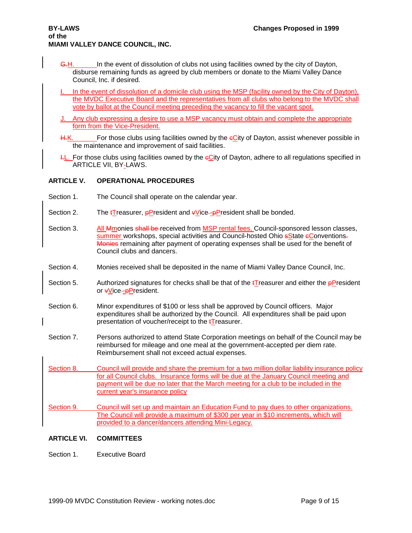- G.H. In the event of dissolution of clubs not using facilities owned by the city of Dayton, disburse remaining funds as agreed by club members or donate to the Miami Valley Dance Council, Inc. if desired.
- In the event of dissolution of a domicile club using the MSP (facility owned by the City of Dayton), the MVDC Executive Board and the representatives from all clubs who belong to the MVDC shall vote by ballot at the Council meeting preceding the vacancy to fill the vacant spot.
- J. Any club expressing a desire to use a MSP vacancy must obtain and complete the appropriate form from the Vice-President.
- H.K. For those clubs using facilities owned by the eCity of Dayton, assist whenever possible in the maintenance and improvement of said facilities.
- $H_{\text{L}}$ . For those clubs using facilities owned by the  $e$ City of Dayton, adhere to all regulations specified in ARTICLE VII, BY-LAWS.

# **ARTICLE V. OPERATIONAL PROCEDURES**

- Section 1. The Council shall operate on the calendar year.
- Section 2. The  $t$ Treasurer, pPresident and  $\sqrt{v}$  vice--pPresident shall be bonded.
- Section 3. All Mmonies shall be received from MSP rental fees, Council-sponsored lesson classes, summer workshops, special activities and Council-hosted Ohio sState eConventions. Monies remaining after payment of operating expenses shall be used for the benefit of Council clubs and dancers.
- Section 4. Monies received shall be deposited in the name of Miami Valley Dance Council, Inc.
- Section 5. Authorized signatures for checks shall be that of the  $t$ Treasurer and either the **pPresident** or vVice--pPresident.
- Section 6. Minor expenditures of \$100 or less shall be approved by Council officers. Major expenditures shall be authorized by the Council. All expenditures shall be paid upon presentation of voucher/receipt to the  $t\overline{I}$  reasurer.
- Section 7. Persons authorized to attend State Corporation meetings on behalf of the Council may be reimbursed for mileage and one meal at the government-accepted per diem rate. Reimbursement shall not exceed actual expenses.
- Section 8. Council will provide and share the premium for a two million dollar liability insurance policy for all Council clubs. Insurance forms will be due at the January Council meeting and payment will be due no later that the March meeting for a club to be included in the current year's insurance policy
- Section 9. Council will set up and maintain an Education Fund to pay dues to other organizations. The Council will provide a maximum of \$300 per year in \$10 increments, which will provided to a dancer/dancers attending Mini-Legacy.

# **ARTICLE VI. COMMITTEES**

Section 1. Executive Board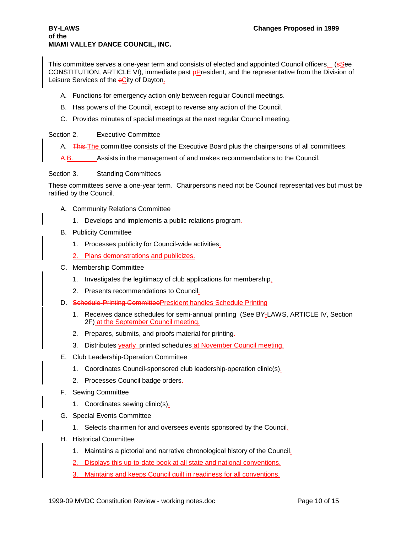This committee serves a one-year term and consists of elected and appointed Council officers. (See CONSTITUTION, ARTICLE VI), immediate past **pPresident**, and the representative from the Division of Leisure Services of the eCity of Dayton.

- A. Functions for emergency action only between regular Council meetings.
- B. Has powers of the Council, except to reverse any action of the Council.
- C. Provides minutes of special meetings at the next regular Council meeting.

Section 2. Executive Committee

- A. This The committee consists of the Executive Board plus the chairpersons of all committees.
- A.B. Assists in the management of and makes recommendations to the Council.

Section 3. Standing Committees

These committees serve a one-year term. Chairpersons need not be Council representatives but must be ratified by the Council.

- A. Community Relations Committee
	- 1. Develops and implements a public relations program.
- B. Publicity Committee
	- 1. Processes publicity for Council-wide activities.
	- 2. Plans demonstrations and publicizes.
- C. Membership Committee
	- 1. Investigates the legitimacy of club applications for membership.
	- 2. Presents recommendations to Council.
- D. Schedule-Printing CommitteePresident handles Schedule Printing
	- 1. Receives dance schedules for semi-annual printing (See BY-LAWS, ARTICLE IV, Section 2F) at the September Council meeting.
	- 2. Prepares, submits, and proofs material for printing.
	- 3. Distributes yearly printed schedules at November Council meeting.
- E. Club Leadership-Operation Committee
	- 1. Coordinates Council-sponsored club leadership-operation clinic(s).
	- 2. Processes Council badge orders.
- F. Sewing Committee
	- 1. Coordinates sewing clinic(s).
- G. Special Events Committee
	- 1. Selects chairmen for and oversees events sponsored by the Council.
- H. Historical Committee
	- 1. Maintains a pictorial and narrative chronological history of the Council.
	- 2. Displays this up-to-date book at all state and national conventions.
	- 3. Maintains and keeps Council quilt in readiness for all conventions.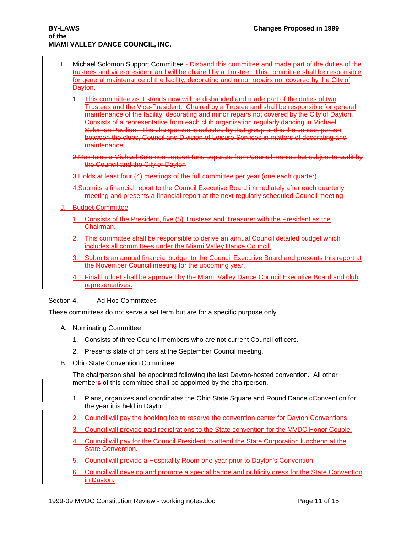- I. Michael Solomon Support Committee Disband this committee and made part of the duties of the trustees and vice-president and will be chaired by a Trustee. This committee shall be responsible for general maintenance of the facility, decorating and minor repairs not covered by the City of Dayton.
	- 1. This committee as it stands now will be disbanded and made part of the duties of two Trustees and the Vice-President. Chaired by a Trustee and shall be responsible for general maintenance of the facility, decorating and minor repairs not covered by the City of Dayton. Consists of a representative from each club organization regularly dancing in Michael Solomon Pavilion. The chairperson is selected by that group and is the contact person between the clubs, Council and Division of Leisure Services in matters of decorating and maintenance

2.Maintains a Michael Solomon support fund separate from Council monies but subject to audit by the Council and the City of Dayton

3.Holds at least four (4) meetings of the full committee per year (one each quarter)

- 4.Submits a financial report to the Council Executive Board immediately after each quarterly meeting and presents a financial report at the next regularly scheduled Council meeting
- **Budget Committee** 
	- 1. Consists of the President, five (5) Trustees and Treasurer with the President as the Chairman.
	- 2. This committee shall be responsible to derive an annual Council detailed budget which includes all committees under the Miami Valley Dance Council.
	- 3. Submits an annual financial budget to the Council Executive Board and presents this report at the November Council meeting for the upcoming year.
	- 4. Final budget shall be approved by the Miami Valley Dance Council Executive Board and club representatives.

Section 4. Ad Hoc Committees

These committees do not serve a set term but are for a specific purpose only.

- A. Nominating Committee
	- 1. Consists of three Council members who are not current Council officers.
	- 2. Presents slate of officers at the September Council meeting.
- B. Ohio State Convention Committee

The chairperson shall be appointed following the last Dayton-hosted convention. All other members of this committee shall be appointed by the chairperson.

- 1. Plans, organizes and coordinates the Ohio State Square and Round Dance eConvention for the year it is held in Dayton.
- 2. Council will pay the booking fee to reserve the convention center for Dayton Conventions.
- 3. Council will provide paid registrations to the State convention for the MVDC Honor Couple.
- 4. Council will pay for the Council President to attend the State Corporation luncheon at the State Convention.
- 5. Council will provide a Hospitality Room one year prior to Dayton's Convention.
- 6. Council will develop and promote a special badge and publicity dress for the State Convention in Dayton.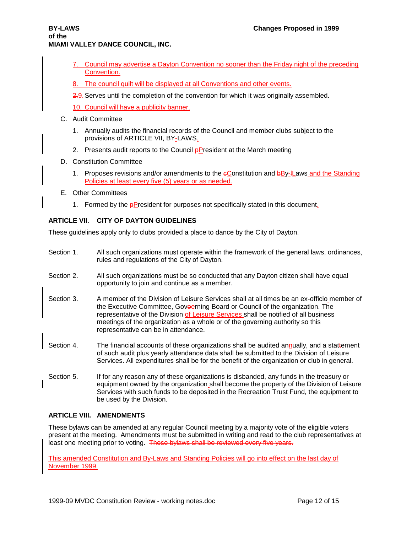- 7. Council may advertise a Dayton Convention no sooner than the Friday night of the preceding Convention.
- 8. The council quilt will be displayed at all Conventions and other events.
- 2.9. Serves until the completion of the convention for which it was originally assembled.
- 10. Council will have a publicity banner.
- C. Audit Committee
	- 1. Annually audits the financial records of the Council and member clubs subject to the provisions of ARTICLE VII, BY-LAWS.
	- 2. Presents audit reports to the Council  $\frac{p}{p}$  resident at the March meeting
- D. Constitution Committee
	- 1. Proposes revisions and/or amendments to the eConstitution and bBy-IL aws and the Standing Policies at least every five (5) years or as needed.
- E. Other Committees
	- 1. Formed by the **pPresident for purposes not specifically stated in this document.**

# **ARTICLE VII. CITY OF DAYTON GUIDELINES**

These guidelines apply only to clubs provided a place to dance by the City of Dayton.

Section 1. All such organizations must operate within the framework of the general laws, ordinances, rules and regulations of the City of Dayton. Section 2. All such organizations must be so conducted that any Dayton citizen shall have equal opportunity to join and continue as a member. Section 3. A member of the Division of Leisure Services shall at all times be an ex-officio member of the Executive Committee, Goveerning Board or Council of the organization. The representative of the Division of Leisure Services shall be notified of all business meetings of the organization as a whole or of the governing authority so this representative can be in attendance. Section 4. The financial accounts of these organizations shall be audited annually, and a stattement of such audit plus yearly attendance data shall be submitted to the Division of Leisure Services. All expenditures shall be for the benefit of the organization or club in general. Section 5. If for any reason any of these organizations is disbanded, any funds in the treasury or equipment owned by the organization\_shall become the property of the Division of Leisure Services with such funds to be deposited in the Recreation Trust Fund, the equipment to

# **ARTICLE VIII. AMENDMENTS**

These bylaws can be amended at any regular Council meeting by a majority vote of the eligible voters present at the meeting. Amendments must be submitted in writing and read to the club representatives at least one meeting prior to voting. These bylaws shall be reviewed every five years.

This amended Constitution and By-Laws and Standing Policies will go into effect on the last day of November 1999.

be used by the Division.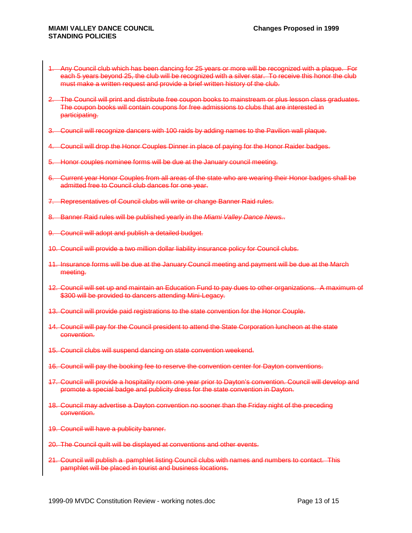- 1. Any Council club which has been dancing for 25 years or more will be recognized with a plaque. For each 5 years beyond 25, the club will be recognized with a silver star. To receive this honor the club must make a written request and provide a brief written history of the club.
- 2. The Council will print and distribute free coupon books to mainstream or plus lesson class graduates. The coupon books will contain coupons for free admissions to clubs that are interested in participating.
- 3. Council will recognize dancers with 100 raids by adding names to the Pavilion wall plaque.
- 4. Council will drop the Honor Couples Dinner in place of paying for the Honor Raider badges.
- 5. Honor couples nominee forms will be due at the January council meeting.
- 6. Current year Honor Couples from all areas of the state who are wearing their Honor badges shall be admitted free to Council club dances for one year.
- 7. Representatives of Council clubs will write or change Banner Raid rules.
- 8. Banner Raid rules will be published yearly in the *Miami Valley Dance News.*.
- 9. Council will adopt and publish a detailed budget.
- 10. Council will provide a two million dollar liability insurance policy for Council clubs.
- 11. Insurance forms will be due at the January Council meeting and payment will be due at the March meeting.
- 12. Council will set up and maintain an Education Fund to pay dues to other organizations. A maximum of \$300 will be provided to dancers attending Mini-Legacy.
- 13. Council will provide paid registrations to the state convention for the Honor Couple.
- 14. Council will pay for the Council president to attend the State Corporation luncheon at the state convention.
- 15. Council clubs will suspend dancing on state convention weekend.
- 16. Council will pay the booking fee to reserve the convention center for Dayton conventions.
- 17. Council will provide a hospitality room one year prior to Dayton's convention. Council will develop and promote a special badge and publicity dress for the state convention in Dayton.
- 18. Council may advertise a Dayton convention no sooner than the Friday night of the preceding convention.
- 19. Council will have a publicity banner.
- 20. The Council quilt will be displayed at conventions and other events.
- 21. Council will publish a pamphlet listing Council clubs with names and numbers to contact. This pamphlet will be placed in tourist and business locations.